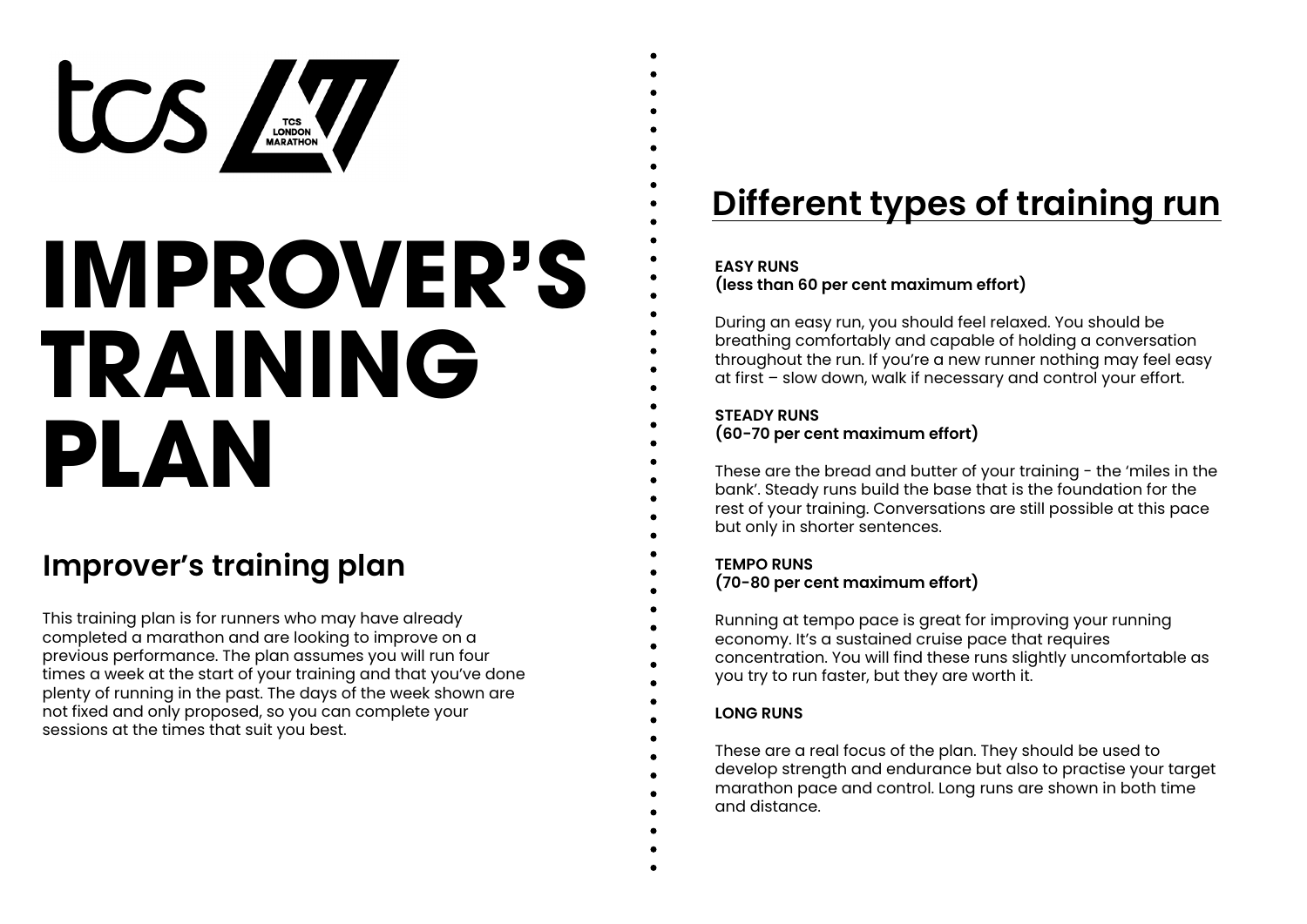

# **IMPROVER'S TRAINING PLAN**

# **Improver's training plan**

This training plan is for runners who may have already completed a marathon and are looking to improve on a previous performance. The plan assumes you will run four times a week at the start of your training and that you've done plenty of running in the past. The days of the week shown are not fixed and only proposed, so you can complete your sessions at the times that suit you best.

# **Different types of training run**

#### **EASY RUNS**

**(less than 60 per cent maximum effort)**

During an easy run, you should feel relaxed. You should be breathing comfortably and capable of holding a conversation throughout the run. If you're a new runner nothing may feel easy at first – slow down, walk if necessary and control your effort.

#### **STEADY RUNS**

**(60-70 per cent maximum effort)**

These are the bread and butter of your training - the 'miles in the bank'. Steady runs build the base that is the foundation for the rest of your training. Conversations are still possible at this pace but only in shorter sentences.

**TEMPO RUNS (70-80 per cent maximum effort)**

Running at tempo pace is great for improving your running economy. It's a sustained cruise pace that requires concentration. You will find these runs slightly uncomfortable as you try to run faster, but they are worth it.

#### **LONG RUNS**

These are a real focus of the plan. They should be used to develop strength and endurance but also to practise your target marathon pace and control. Long runs are shown in both time and distance.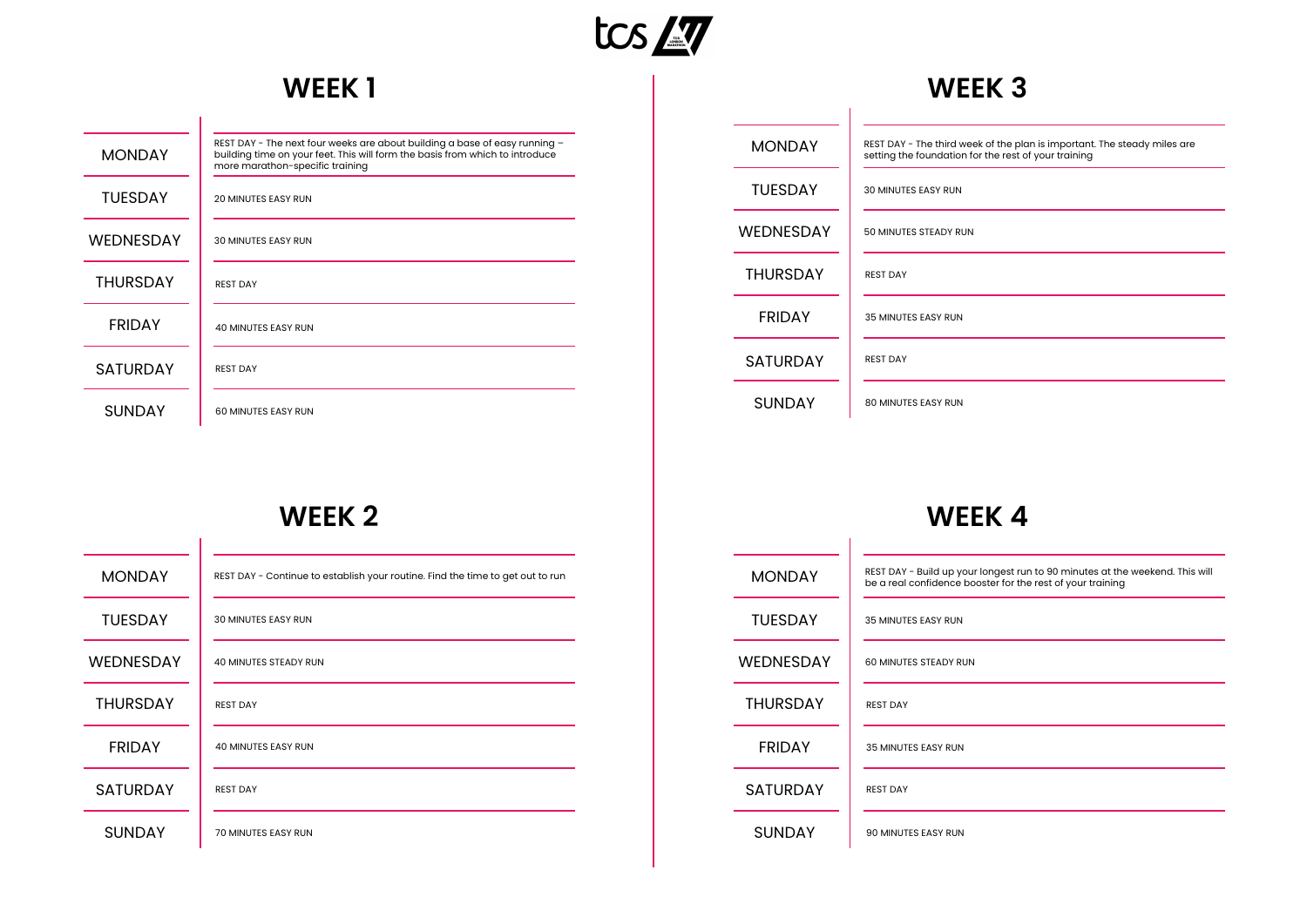

## **WEEK 1**

| <b>MONDAY</b>    | REST DAY - The next four weeks are about building a base of easy running -<br>building time on your feet. This will form the basis from which to introduce<br>more marathon-specific training |
|------------------|-----------------------------------------------------------------------------------------------------------------------------------------------------------------------------------------------|
| <b>TUESDAY</b>   | <b>20 MINUTES EASY RUN</b>                                                                                                                                                                    |
| <b>WEDNESDAY</b> | <b>30 MINUTES EASY RUN</b>                                                                                                                                                                    |
| <b>THURSDAY</b>  | <b>REST DAY</b>                                                                                                                                                                               |
| <b>FRIDAY</b>    | <b>40 MINUTES EASY RUN</b>                                                                                                                                                                    |
| <b>SATURDAY</b>  | <b>REST DAY</b>                                                                                                                                                                               |
| <b>SUNDAY</b>    | 60 MINUTES EASY RUN                                                                                                                                                                           |

| <b>MONDAY</b>    | REST DAY - The third week of the plan is important. The steady miles are<br>setting the foundation for the rest of your training |
|------------------|----------------------------------------------------------------------------------------------------------------------------------|
| <b>TUESDAY</b>   | <b>30 MINUTES EASY RUN</b>                                                                                                       |
| <b>WEDNESDAY</b> | 50 MINUTES STEADY RUN                                                                                                            |
| <b>THURSDAY</b>  | <b>REST DAY</b>                                                                                                                  |
| <b>FRIDAY</b>    | <b>35 MINUTES EASY RUN</b>                                                                                                       |
| <b>SATURDAY</b>  | <b>REST DAY</b>                                                                                                                  |
| <b>SUNDAY</b>    | <b>80 MINUTES EASY RUN</b>                                                                                                       |

**WEEK 3**

## **WEEK 2**

| <b>MONDAY</b>    | REST DAY - Continue to establish your routine. Find the time to get out to run |
|------------------|--------------------------------------------------------------------------------|
| <b>TUESDAY</b>   | <b>30 MINUTES EASY RUN</b>                                                     |
| <b>WEDNESDAY</b> | <b>40 MINUTES STEADY RUN</b>                                                   |
| <b>THURSDAY</b>  | <b>REST DAY</b>                                                                |
| <b>FRIDAY</b>    | <b>40 MINUTES EASY RUN</b>                                                     |
| <b>SATURDAY</b>  | <b>REST DAY</b>                                                                |
| <b>SUNDAY</b>    | <b>70 MINUTES EASY RUN</b>                                                     |

| <b>MONDAY</b>   | REST DAY - Build up your longest run to 90 minutes at the weekend. This will<br>be a real confidence booster for the rest of your training |
|-----------------|--------------------------------------------------------------------------------------------------------------------------------------------|
| <b>TUESDAY</b>  | <b>35 MINUTES EASY RUN</b>                                                                                                                 |
| WEDNESDAY       | 60 MINUTES STEADY RUN                                                                                                                      |
| <b>THURSDAY</b> | <b>REST DAY</b>                                                                                                                            |
| <b>FRIDAY</b>   | <b>35 MINUTES EASY RUN</b>                                                                                                                 |
| <b>SATURDAY</b> | <b>REST DAY</b>                                                                                                                            |
| <b>SUNDAY</b>   | 90 MINUTES EASY RUN                                                                                                                        |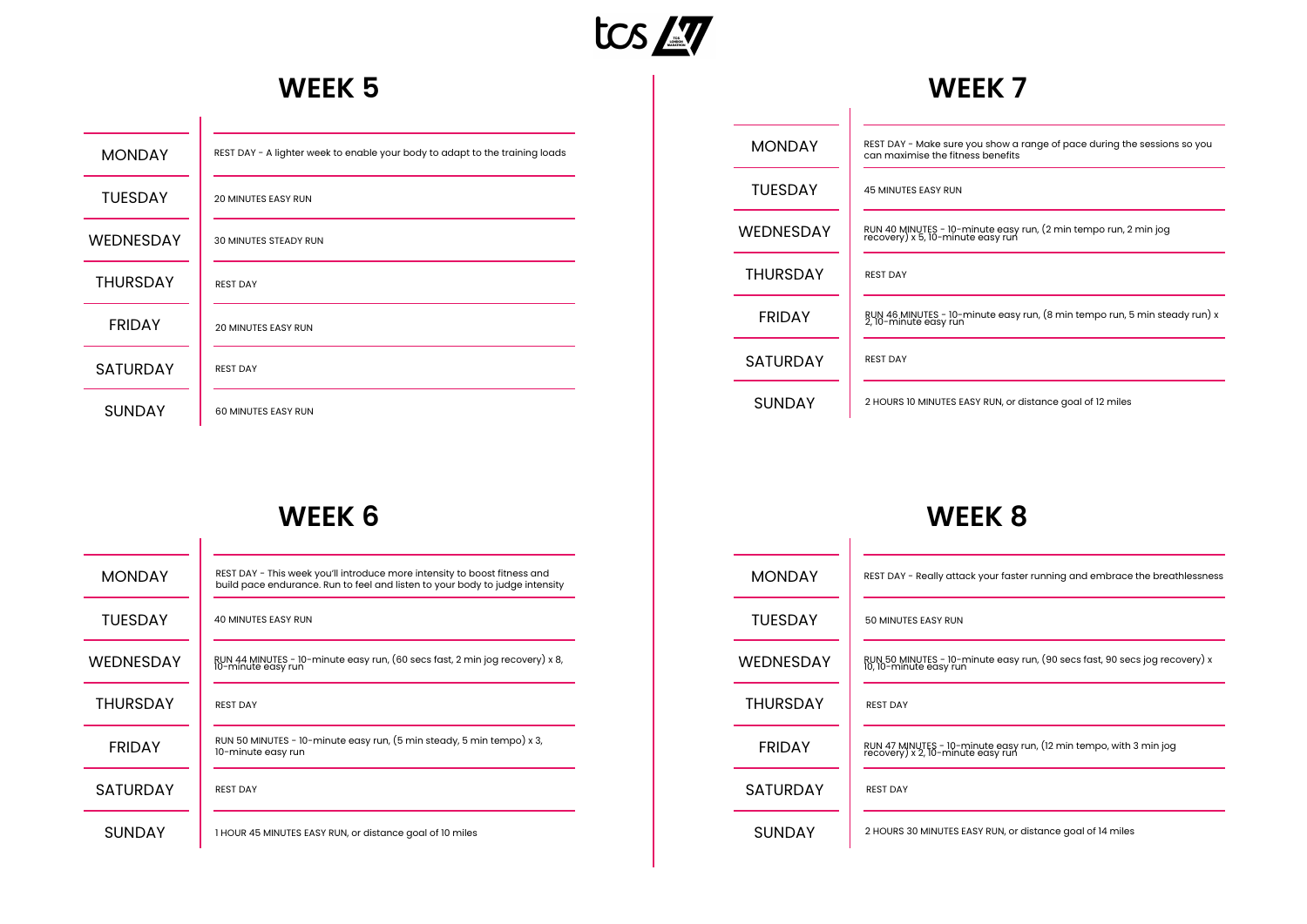

#### **WEEK 5**

| <b>MONDAY</b>    | REST DAY - A lighter week to enable your body to adapt to the training loads |
|------------------|------------------------------------------------------------------------------|
| <b>TUESDAY</b>   | <b>20 MINUTES EASY RUN</b>                                                   |
| <b>WEDNESDAY</b> | <b>30 MINUTES STEADY RUN</b>                                                 |
| <b>THURSDAY</b>  | <b>REST DAY</b>                                                              |
| <b>FRIDAY</b>    | <b>20 MINUTES EASY RUN</b>                                                   |
| <b>SATURDAY</b>  | <b>REST DAY</b>                                                              |
| <b>SUNDAY</b>    | <b>60 MINUTES EASY RUN</b>                                                   |

#### **WEEK 7**

 $\overline{\phantom{a}}$ 

| <b>MONDAY</b>   | REST DAY - Make sure you show a range of pace during the sessions so you<br>can maximise the fitness benefits |
|-----------------|---------------------------------------------------------------------------------------------------------------|
| <b>TUESDAY</b>  | <b>45 MINUTES EASY RUN</b>                                                                                    |
| WFDNFSDAY       | RUN 40 MINUTES - 10-minute easy run, (2 min tempo run, 2 min jog<br>recovery) x 5, 10-minute easy run         |
| <b>THURSDAY</b> | <b>REST DAY</b>                                                                                               |
| <b>FRIDAY</b>   | RUN 46 MINUTES - 10-minute easy run, (8 min tempo run, 5 min steady run) x<br>2, 10-minute easy run           |
| <b>SATURDAY</b> | <b>REST DAY</b>                                                                                               |
| <b>SUNDAY</b>   | 2 HOURS 10 MINUTES EASY RUN, or distance goal of 12 miles                                                     |

## **WEEK 6**

| <b>MONDAY</b>    | REST DAY - This week you'll introduce more intensity to boost fitness and<br>build pace endurance. Run to feel and listen to your body to judge intensity |
|------------------|-----------------------------------------------------------------------------------------------------------------------------------------------------------|
| <b>TUFSDAY</b>   | <b>40 MINUTES EASY RUN</b>                                                                                                                                |
| <b>WEDNESDAY</b> | RUN 44 MINUTES - 10-minute easy run, (60 secs fast, 2 min jog recovery) x 8,<br>10-minute easy run                                                        |
| <b>THURSDAY</b>  | <b>REST DAY</b>                                                                                                                                           |
| <b>FRIDAY</b>    | RUN 50 MINUTES - 10-minute easy run, (5 min steady, 5 min tempo) x 3,<br>10-minute easy run                                                               |
| <b>SATURDAY</b>  | <b>REST DAY</b>                                                                                                                                           |
| <b>SUNDAY</b>    | 1 HOUR 45 MINUTES EASY RUN, or distance goal of 10 miles                                                                                                  |

| <b>MONDAY</b>   | REST DAY - Really attack your faster running and embrace the breathlessness                             |
|-----------------|---------------------------------------------------------------------------------------------------------|
| <b>TUFSDAY</b>  | 50 MINUTES EASY RUN                                                                                     |
| WFDNFSDAY       | RUN 50 MINUTES - 10-minute easy run, (90 secs fast, 90 secs jog recovery) x<br>10, 10-minute easy run   |
| <b>THURSDAY</b> | <b>REST DAY</b>                                                                                         |
| <b>FRIDAY</b>   | RUN 47 MINUTES - 10-minute easy run, (12 min tempo, with 3 min jog<br>recovery) x 2, 10-minute easy run |
| <b>SATURDAY</b> | <b>REST DAY</b>                                                                                         |
| <b>SUNDAY</b>   | 2 HOURS 30 MINUTES EASY RUN, or distance goal of 14 miles                                               |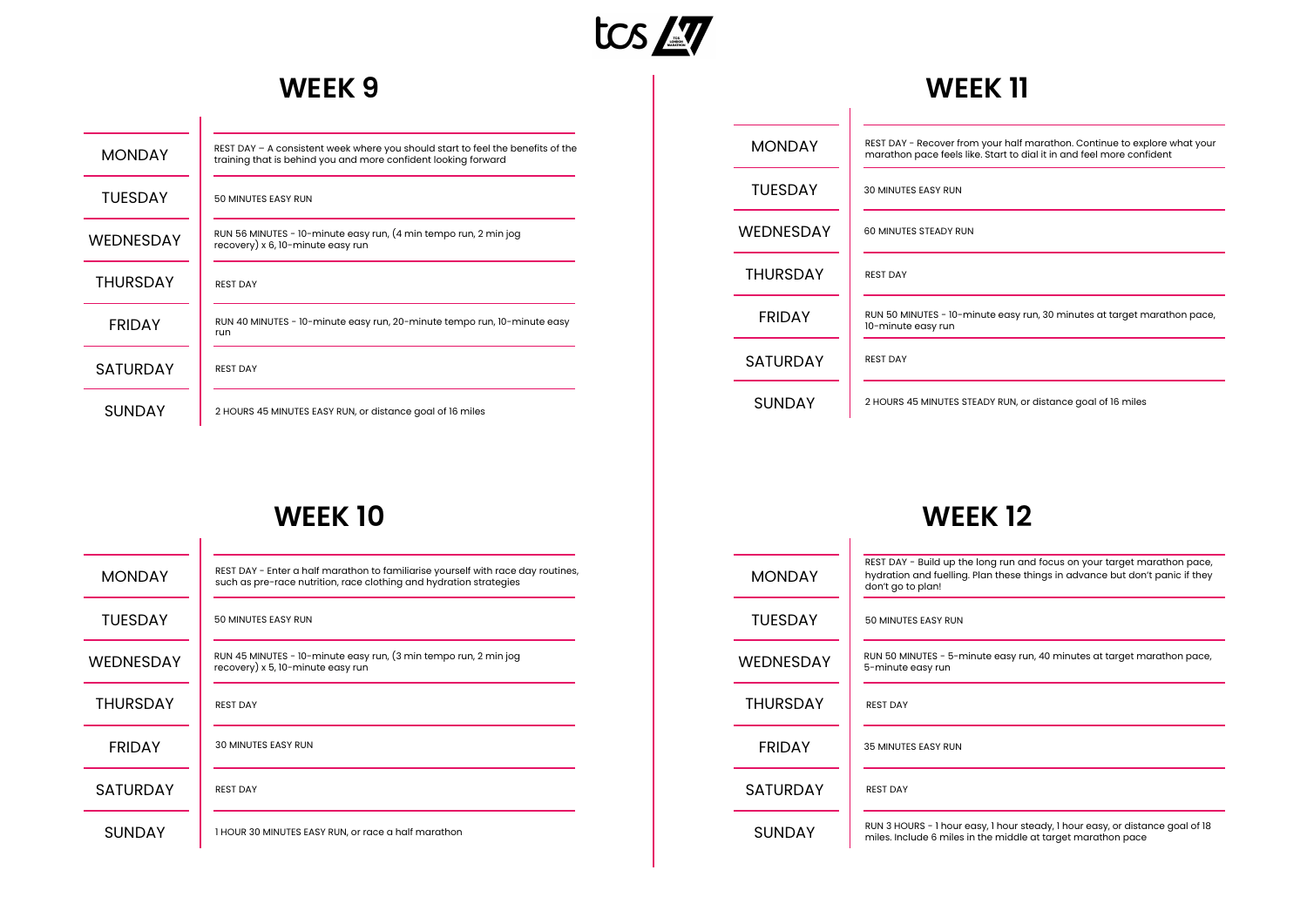

#### **WEEK 9**

 $\overline{\phantom{a}}$ 

| <b>MONDAY</b>    | REST DAY $-$ A consistent week where you should start to feel the benefits of the<br>training that is behind you and more confident looking forward |
|------------------|-----------------------------------------------------------------------------------------------------------------------------------------------------|
| <b>TUESDAY</b>   | 50 MINUTES EASY RUN                                                                                                                                 |
| <b>WEDNESDAY</b> | RUN 56 MINUTES - 10-minute easy run, (4 min tempo run, 2 min jog<br>recovery) x 6, 10-minute easy run                                               |
| <b>THURSDAY</b>  | <b>REST DAY</b>                                                                                                                                     |
| <b>FRIDAY</b>    | RUN 40 MINUTES - 10-minute easy run, 20-minute tempo run, 10-minute easy<br>run                                                                     |
| <b>SATURDAY</b>  | <b>REST DAY</b>                                                                                                                                     |
| SUNDAY           | 2 HOURS 45 MINUTES EASY RUN, or distance goal of 16 miles                                                                                           |

| <b>MONDAY</b>   | REST DAY - Recover from your half marathon. Continue to explore what your<br>marathon pace feels like. Start to dial it in and feel more confident |
|-----------------|----------------------------------------------------------------------------------------------------------------------------------------------------|
| <b>TUESDAY</b>  | <b>30 MINUTES EASY RUN</b>                                                                                                                         |
| WEDNESDAY       | 60 MINUTES STEADY RUN                                                                                                                              |
| <b>THURSDAY</b> | <b>REST DAY</b>                                                                                                                                    |
| <b>FRIDAY</b>   | RUN 50 MINUTES - 10-minute easy run, 30 minutes at target marathon pace,<br>10-minute easy run                                                     |
| <b>SATURDAY</b> | <b>REST DAY</b>                                                                                                                                    |
| <b>SUNDAY</b>   | 2 HOURS 45 MINUTES STEADY RUN, or distance goal of 16 miles                                                                                        |

**WEEK 11**

## **WEEK 10**

| <b>MONDAY</b>    | REST DAY - Enter a half marathon to familiarise yourself with race day routines,<br>such as pre-race nutrition, race clothing and hydration strategies |
|------------------|--------------------------------------------------------------------------------------------------------------------------------------------------------|
| <b>TUFSDAY</b>   | 50 MINUTES EASY RUN                                                                                                                                    |
| <b>WEDNESDAY</b> | RUN 45 MINUTES - 10-minute easy run, (3 min tempo run, 2 min jog<br>recovery) x 5, 10-minute easy run                                                  |
| <b>THURSDAY</b>  | <b>REST DAY</b>                                                                                                                                        |
| <b>FRIDAY</b>    | <b>30 MINUTES EASY RUN</b>                                                                                                                             |
| <b>SATURDAY</b>  | <b>REST DAY</b>                                                                                                                                        |
| <b>SUNDAY</b>    | 1 HOUR 30 MINUTES EASY RUN, or race a half marathon                                                                                                    |

| <b>MONDAY</b>    | REST DAY - Build up the long run and focus on your target marathon pace,<br>hydration and fuelling. Plan these things in advance but don't panic if they<br>don't go to plan! |
|------------------|-------------------------------------------------------------------------------------------------------------------------------------------------------------------------------|
| <b>TUFSDAY</b>   | 50 MINUTES EASY RUN                                                                                                                                                           |
| <b>WEDNESDAY</b> | RUN 50 MINUTES - 5-minute easy run, 40 minutes at target marathon pace,<br>5-minute easy run                                                                                  |
| <b>THURSDAY</b>  | <b>REST DAY</b>                                                                                                                                                               |
| <b>FRIDAY</b>    | <b>35 MINUTES EASY RUN</b>                                                                                                                                                    |
| <b>SATURDAY</b>  | <b>REST DAY</b>                                                                                                                                                               |
| <b>SUNDAY</b>    | RUN 3 HOURS - 1 hour easy, 1 hour steady, 1 hour easy, or distance goal of 18<br>miles. Include 6 miles in the middle at target marathon pace                                 |